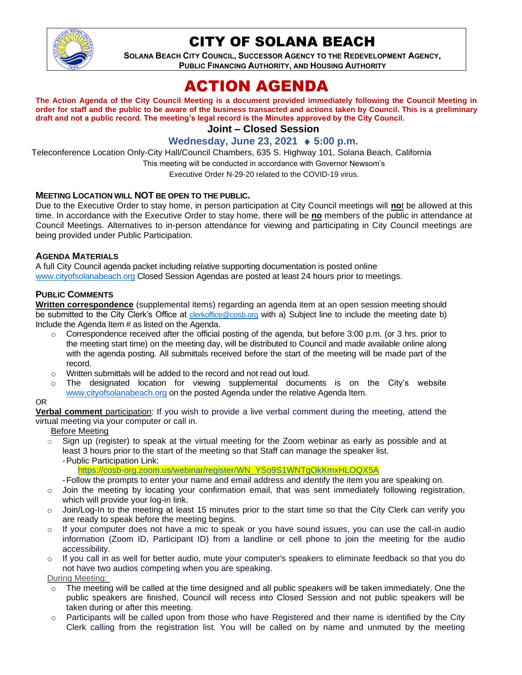

# CITY OF SOLANA BEACH

**SOLANA BEACH CITY COUNCIL, SUCCESSOR AGENCY TO THE REDEVELOPMENT AGENCY, PUBLIC FINANCING AUTHORITY, AND HOUSING AUTHORITY**

# ACTION AGENDA

**The Action Agenda of the City Council Meeting is a document provided immediately following the Council Meeting in order for staff and the public to be aware of the business transacted and actions taken by Council. This is a preliminary draft and not a public record. The meeting's legal record is the Minutes approved by the City Council.**

**Joint – Closed Session**

**Wednesday, June 23, 2021 5:00 p.m.**

Teleconference Location Only-City Hall/Council Chambers, 635 S. Highway 101, Solana Beach, California

This meeting will be conducted in accordance with Governor Newsom's

Executive Order N-29-20 related to the COVID-19 virus.

#### **MEETING LOCATION WILL NOT BE OPEN TO THE PUBLIC.**

Due to the Executive Order to stay home, in person participation at City Council meetings will **no**t be allowed at this time. In accordance with the Executive Order to stay home, there will be **no** members of the public in attendance at Council Meetings. Alternatives to in-person attendance for viewing and participating in City Council meetings are being provided under Public Participation.

#### **AGENDA MATERIALS**

A full City Council agenda packet including relative supporting documentation is posted online [www.cityofsolanabeach.org](https://urldefense.proofpoint.com/v2/url?u=http-3A__www.cityofsolanabeach.org&d=DwQFAg&c=euGZstcaTDllvimEN8b7jXrwqOf-v5A_CdpgnVfiiMM&r=1XAsCUuqwK_tji2t0s1uIQ&m=wny2RVfZJ2tN24LkqZmkUWNpwL_peNtTZUBlTBZiMM4&s=6ATguqxJUOD7VVtloplAbyuyNaVcEh6Fl4q1iw55lCY&e=) Closed Session Agendas are posted at least 24 hours prior to meetings.

#### **PUBLIC COMMENTS**

**Written correspondence** (supplemental items) regarding an agenda item at an open session meeting should be submitted to the City Clerk's Office at [clerkoffice@cosb.org](mailto:clerkoffice@cosb.org) with a) Subject line to include the meeting date b) Include the Agenda Item # as listed on the Agenda.

- $\circ$  Correspondence received after the official posting of the agenda, but before 3:00 p.m. (or 3 hrs. prior to the meeting start time) on the meeting day, will be distributed to Council and made available online along with the agenda posting. All submittals received before the start of the meeting will be made part of the record.
- o Written submittals will be added to the record and not read out loud.
- o The designated location for viewing supplemental documents is on the City's website [www.cityofsolanabeach.org](http://www.cityofsolanabeach.org/) on the posted Agenda under the relative Agenda Item.

#### OR

**Verbal comment** participation: If you wish to provide a live verbal comment during the meeting, attend the virtual meeting via your computer or call in.

#### Before Meeting

 $\circ$  Sign up (register) to speak at the virtual meeting for the Zoom webinar as early as possible and at least 3 hours prior to the start of the meeting so that Staff can manage the speaker list. -Public Participation Link:

[https://cosb-org.zoom.us/webinar/register/WN\\_YSo9S1WNTgOkKmxHLOQX5A](https://cosb-org.zoom.us/webinar/register/WN_YSo9S1WNTgOkKmxHLOQX5A)

- -Follow the prompts to enter your name and email address and identify the item you are speaking on.
- o Join the meeting by locating your confirmation email, that was sent immediately following registration, which will provide your log-in link.
- o Join/Log-In to the meeting at least 15 minutes prior to the start time so that the City Clerk can verify you are ready to speak before the meeting begins.
- $\circ$  If your computer does not have a mic to speak or you have sound issues, you can use the call-in audio information (Zoom ID, Participant ID) from a landline or cell phone to join the meeting for the audio accessibility.
- o If you call in as well for better audio, mute your computer's speakers to eliminate feedback so that you do not have two audios competing when you are speaking.

During Meeting:

- $\circ$  The meeting will be called at the time designed and all public speakers will be taken immediately. One the public speakers are finished, Council will recess into Closed Session and not public speakers will be taken during or after this meeting.
- $\circ$  Participants will be called upon from those who have Registered and their name is identified by the City Clerk calling from the registration list. You will be called on by name and unmuted by the meeting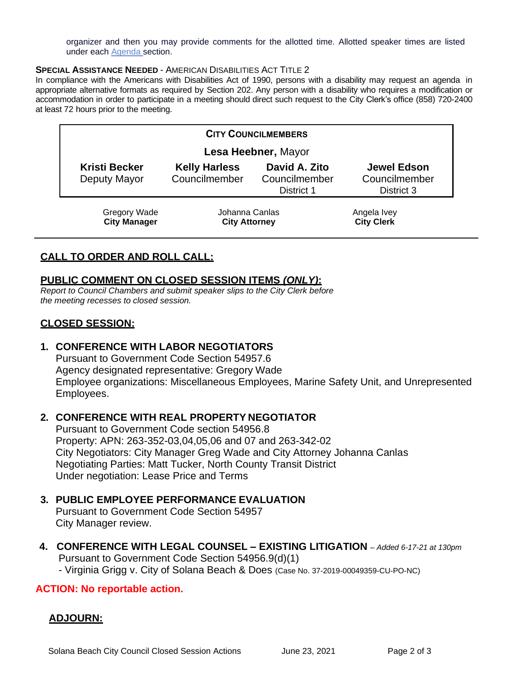organizer and then you may provide comments for the allotted time. Allotted speaker times are listed under each [Agenda s](https://urldefense.proofpoint.com/v2/url?u=https-3A__www.ci.solana-2Dbeach.ca.us_index.asp-3FSEC-3DF0F1200D-2D21C6-2D4A88-2D8AE1-2D0BC07C1A81A7-26Type-3DB-5FBASIC&d=DwMFaQ&c=euGZstcaTDllvimEN8b7jXrwqOf-v5A_CdpgnVfiiMM&r=1XAsCUuqwK_tji2t0s1uIQ&m=C7WzXfOw2_nkEFMJClT55zZsF4tmIf_7KTn0o1WpYqI&s=3DcsWExM2_nx_xpvFtXslUjphiXd0MDCCF18y_Qy5yU&e=)ection.

#### **SPECIAL ASSISTANCE NEEDED - AMERICAN DISABILITIES ACT TITLE 2**

In compliance with the Americans with Disabilities Act of 1990, persons with a disability may request an agenda in appropriate alternative formats as required by Section 202. Any person with a disability who requires a modification or accommodation in order to participate in a meeting should direct such request to the City Clerk's office (858) 720-2400 at least 72 hours prior to the meeting.

| <b>CITY COUNCILMEMBERS</b>                 |                                        |                                                     |                                                   |
|--------------------------------------------|----------------------------------------|-----------------------------------------------------|---------------------------------------------------|
| Lesa Heebner, Mayor                        |                                        |                                                     |                                                   |
| <b>Kristi Becker</b><br>Deputy Mayor       | <b>Kelly Harless</b><br>Councilmember  | David A. Zito<br>Councilmember<br><b>District 1</b> | <b>Jewel Edson</b><br>Councilmember<br>District 3 |
| <b>Gregory Wade</b><br><b>City Manager</b> | Johanna Canlas<br><b>City Attorney</b> |                                                     | Angela Ivey<br><b>City Clerk</b>                  |

# **CALL TO ORDER AND ROLL CALL:**

### **PUBLIC COMMENT ON CLOSED SESSION ITEMS** *(ONLY)***:**

*Report to Council Chambers and submit speaker slips to the City Clerk before the meeting recesses to closed session.*

# **CLOSED SESSION:**

## **1. CONFERENCE WITH LABOR NEGOTIATORS**

Pursuant to Government Code Section 54957.6 Agency designated representative: Gregory Wade Employee organizations: Miscellaneous Employees, Marine Safety Unit, and Unrepresented Employees.

#### **2. CONFERENCE WITH REAL PROPERTY NEGOTIATOR**

Pursuant to Government Code section 54956.8 Property: APN: 263-352-03,04,05,06 and 07 and 263-342-02 City Negotiators: City Manager Greg Wade and City Attorney Johanna Canlas Negotiating Parties: Matt Tucker, North County Transit District Under negotiation: Lease Price and Terms

### **3. PUBLIC EMPLOYEE PERFORMANCE EVALUATION**

Pursuant to Government Code Section 54957 City Manager review.

**4. CONFERENCE WITH LEGAL COUNSEL – EXISTING LITIGATION** – *Added 6-17-21 at 130pm* Pursuant to Government Code Section 54956.9(d)(1)

- Virginia Grigg v. City of Solana Beach & Does (Case No. 37-2019-00049359-CU-PO-NC)

#### **ACTION: No reportable action.**

## **ADJOURN:**